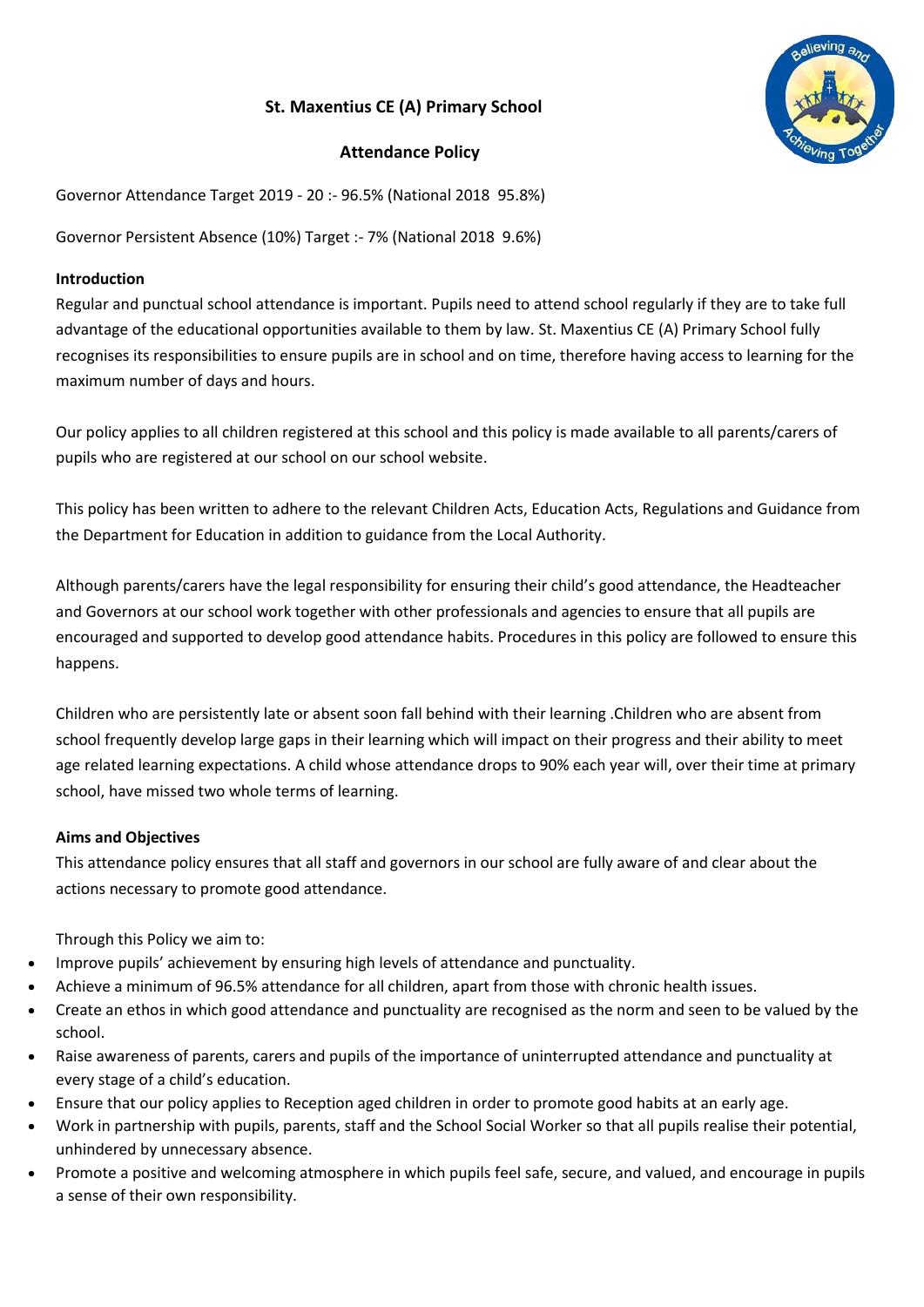# **St. Maxentius CE (A) Primary School**

# **Attendance Policy**

Governor Attendance Target 2019 - 20 :- 96.5% (National 2018 95.8%)

Governor Persistent Absence (10%) Target :- 7% (National 2018 9.6%)

# **Introduction**

Regular and punctual school attendance is important. Pupils need to attend school regularly if they are to take full advantage of the educational opportunities available to them by law. St. Maxentius CE (A) Primary School fully recognises its responsibilities to ensure pupils are in school and on time, therefore having access to learning for the maximum number of days and hours.

Our policy applies to all children registered at this school and this policy is made available to all parents/carers of pupils who are registered at our school on our school website.

This policy has been written to adhere to the relevant Children Acts, Education Acts, Regulations and Guidance from the Department for Education in addition to guidance from the Local Authority.

Although parents/carers have the legal responsibility for ensuring their child's good attendance, the Headteacher and Governors at our school work together with other professionals and agencies to ensure that all pupils are encouraged and supported to develop good attendance habits. Procedures in this policy are followed to ensure this happens.

Children who are persistently late or absent soon fall behind with their learning .Children who are absent from school frequently develop large gaps in their learning which will impact on their progress and their ability to meet age related learning expectations. A child whose attendance drops to 90% each year will, over their time at primary school, have missed two whole terms of learning.

# **Aims and Objectives**

This attendance policy ensures that all staff and governors in our school are fully aware of and clear about the actions necessary to promote good attendance.

Through this Policy we aim to:

- Improve pupils' achievement by ensuring high levels of attendance and punctuality.
- Achieve a minimum of 96.5% attendance for all children, apart from those with chronic health issues.
- Create an ethos in which good attendance and punctuality are recognised as the norm and seen to be valued by the school.
- Raise awareness of parents, carers and pupils of the importance of uninterrupted attendance and punctuality at every stage of a child's education.
- Ensure that our policy applies to Reception aged children in order to promote good habits at an early age.
- Work in partnership with pupils, parents, staff and the School Social Worker so that all pupils realise their potential, unhindered by unnecessary absence.
- Promote a positive and welcoming atmosphere in which pupils feel safe, secure, and valued, and encourage in pupils a sense of their own responsibility.

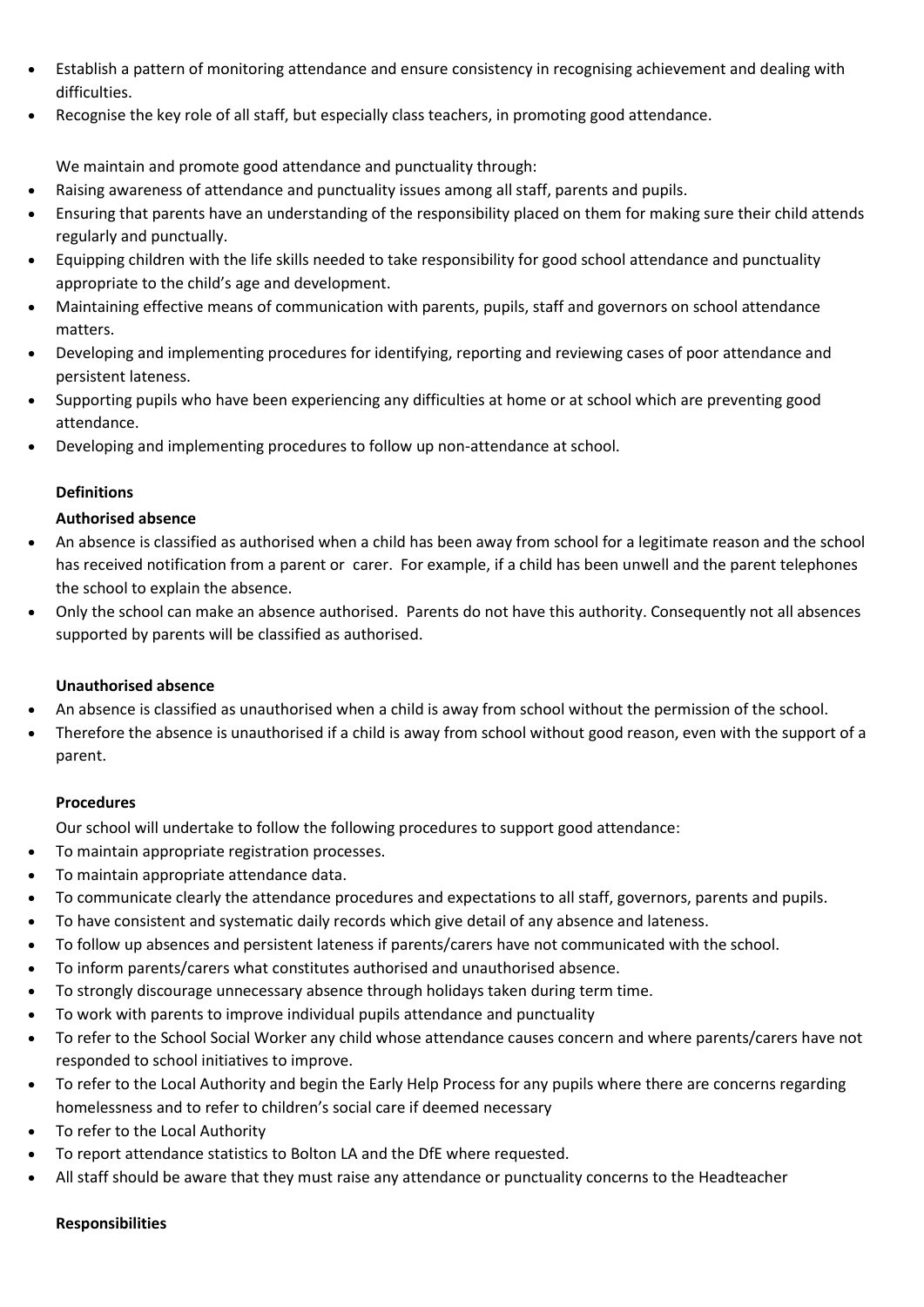- Establish a pattern of monitoring attendance and ensure consistency in recognising achievement and dealing with difficulties.
- Recognise the key role of all staff, but especially class teachers, in promoting good attendance.

We maintain and promote good attendance and punctuality through:

- Raising awareness of attendance and punctuality issues among all staff, parents and pupils.
- Ensuring that parents have an understanding of the responsibility placed on them for making sure their child attends regularly and punctually.
- Equipping children with the life skills needed to take responsibility for good school attendance and punctuality appropriate to the child's age and development.
- Maintaining effective means of communication with parents, pupils, staff and governors on school attendance matters.
- Developing and implementing procedures for identifying, reporting and reviewing cases of poor attendance and persistent lateness.
- Supporting pupils who have been experiencing any difficulties at home or at school which are preventing good attendance.
- Developing and implementing procedures to follow up non-attendance at school.

# **Definitions**

# **Authorised absence**

- An absence is classified as authorised when a child has been away from school for a legitimate reason and the school has received notification from a parent or carer. For example, if a child has been unwell and the parent telephones the school to explain the absence.
- Only the school can make an absence authorised. Parents do not have this authority. Consequently not all absences supported by parents will be classified as authorised.

# **Unauthorised absence**

- An absence is classified as unauthorised when a child is away from school without the permission of the school.
- Therefore the absence is unauthorised if a child is away from school without good reason, even with the support of a parent.

# **Procedures**

Our school will undertake to follow the following procedures to support good attendance:

- To maintain appropriate registration processes.
- To maintain appropriate attendance data.
- To communicate clearly the attendance procedures and expectations to all staff, governors, parents and pupils.
- To have consistent and systematic daily records which give detail of any absence and lateness.
- To follow up absences and persistent lateness if parents/carers have not communicated with the school.
- To inform parents/carers what constitutes authorised and unauthorised absence.
- To strongly discourage unnecessary absence through holidays taken during term time.
- To work with parents to improve individual pupils attendance and punctuality
- To refer to the School Social Worker any child whose attendance causes concern and where parents/carers have not responded to school initiatives to improve.
- To refer to the Local Authority and begin the Early Help Process for any pupils where there are concerns regarding homelessness and to refer to children's social care if deemed necessary
- To refer to the Local Authority
- To report attendance statistics to Bolton LA and the DfE where requested.
- All staff should be aware that they must raise any attendance or punctuality concerns to the Headteacher

# **Responsibilities**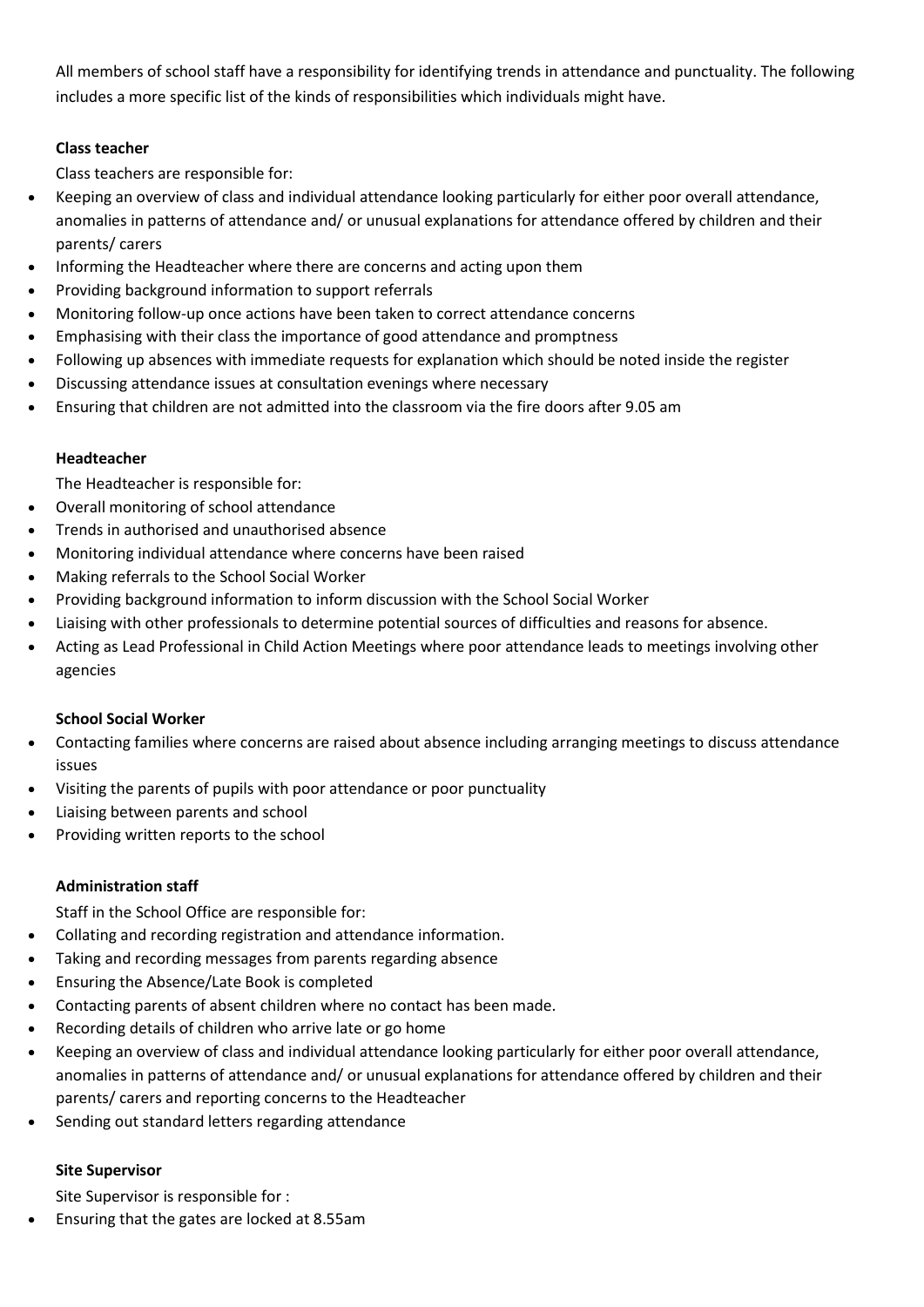All members of school staff have a responsibility for identifying trends in attendance and punctuality. The following includes a more specific list of the kinds of responsibilities which individuals might have.

# **Class teacher**

Class teachers are responsible for:

- Keeping an overview of class and individual attendance looking particularly for either poor overall attendance, anomalies in patterns of attendance and/ or unusual explanations for attendance offered by children and their parents/ carers
- Informing the Headteacher where there are concerns and acting upon them
- Providing background information to support referrals
- Monitoring follow-up once actions have been taken to correct attendance concerns
- Emphasising with their class the importance of good attendance and promptness
- Following up absences with immediate requests for explanation which should be noted inside the register
- Discussing attendance issues at consultation evenings where necessary
- Ensuring that children are not admitted into the classroom via the fire doors after 9.05 am

# **Headteacher**

The Headteacher is responsible for:

- Overall monitoring of school attendance
- Trends in authorised and unauthorised absence
- Monitoring individual attendance where concerns have been raised
- Making referrals to the School Social Worker
- Providing background information to inform discussion with the School Social Worker
- Liaising with other professionals to determine potential sources of difficulties and reasons for absence.
- Acting as Lead Professional in Child Action Meetings where poor attendance leads to meetings involving other agencies

# **School Social Worker**

- Contacting families where concerns are raised about absence including arranging meetings to discuss attendance issues
- Visiting the parents of pupils with poor attendance or poor punctuality
- Liaising between parents and school
- Providing written reports to the school

# **Administration staff**

Staff in the School Office are responsible for:

- Collating and recording registration and attendance information.
- Taking and recording messages from parents regarding absence
- Ensuring the Absence/Late Book is completed
- Contacting parents of absent children where no contact has been made.
- Recording details of children who arrive late or go home
- Keeping an overview of class and individual attendance looking particularly for either poor overall attendance, anomalies in patterns of attendance and/ or unusual explanations for attendance offered by children and their parents/ carers and reporting concerns to the Headteacher
- Sending out standard letters regarding attendance

# **Site Supervisor**

Site Supervisor is responsible for :

Ensuring that the gates are locked at 8.55am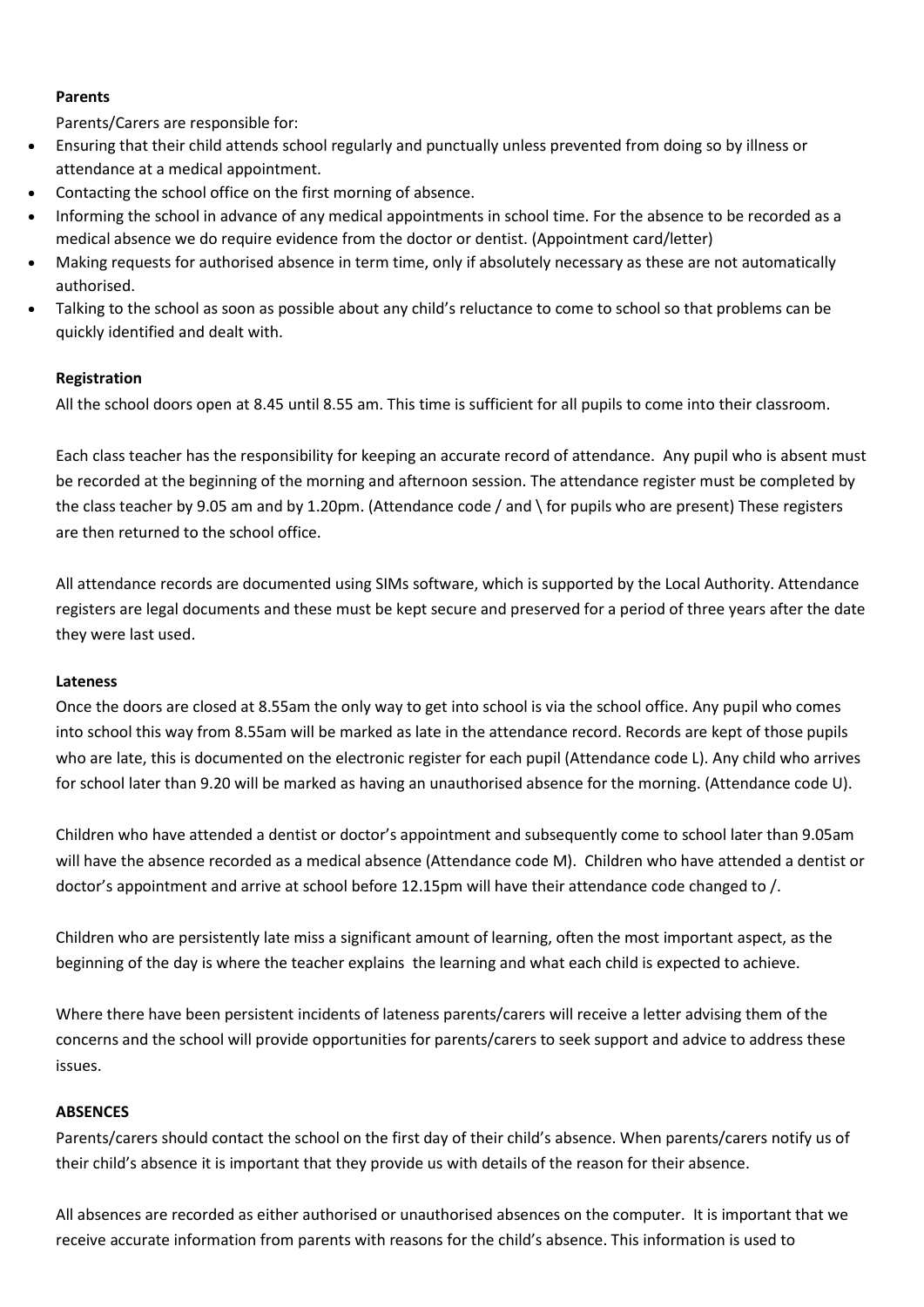#### **Parents**

Parents/Carers are responsible for:

- Ensuring that their child attends school regularly and punctually unless prevented from doing so by illness or attendance at a medical appointment.
- Contacting the school office on the first morning of absence.
- Informing the school in advance of any medical appointments in school time. For the absence to be recorded as a medical absence we do require evidence from the doctor or dentist. (Appointment card/letter)
- Making requests for authorised absence in term time, only if absolutely necessary as these are not automatically authorised.
- Talking to the school as soon as possible about any child's reluctance to come to school so that problems can be quickly identified and dealt with.

#### **Registration**

All the school doors open at 8.45 until 8.55 am. This time is sufficient for all pupils to come into their classroom.

Each class teacher has the responsibility for keeping an accurate record of attendance. Any pupil who is absent must be recorded at the beginning of the morning and afternoon session. The attendance register must be completed by the class teacher by 9.05 am and by 1.20pm. (Attendance code / and \ for pupils who are present) These registers are then returned to the school office.

All attendance records are documented using SIMs software, which is supported by the Local Authority. Attendance registers are legal documents and these must be kept secure and preserved for a period of three years after the date they were last used.

#### **Lateness**

Once the doors are closed at 8.55am the only way to get into school is via the school office. Any pupil who comes into school this way from 8.55am will be marked as late in the attendance record. Records are kept of those pupils who are late, this is documented on the electronic register for each pupil (Attendance code L). Any child who arrives for school later than 9.20 will be marked as having an unauthorised absence for the morning. (Attendance code U).

Children who have attended a dentist or doctor's appointment and subsequently come to school later than 9.05am will have the absence recorded as a medical absence (Attendance code M). Children who have attended a dentist or doctor's appointment and arrive at school before 12.15pm will have their attendance code changed to /.

Children who are persistently late miss a significant amount of learning, often the most important aspect, as the beginning of the day is where the teacher explains the learning and what each child is expected to achieve.

Where there have been persistent incidents of lateness parents/carers will receive a letter advising them of the concerns and the school will provide opportunities for parents/carers to seek support and advice to address these issues.

#### **ABSENCES**

Parents/carers should contact the school on the first day of their child's absence. When parents/carers notify us of their child's absence it is important that they provide us with details of the reason for their absence.

All absences are recorded as either authorised or unauthorised absences on the computer. It is important that we receive accurate information from parents with reasons for the child's absence. This information is used to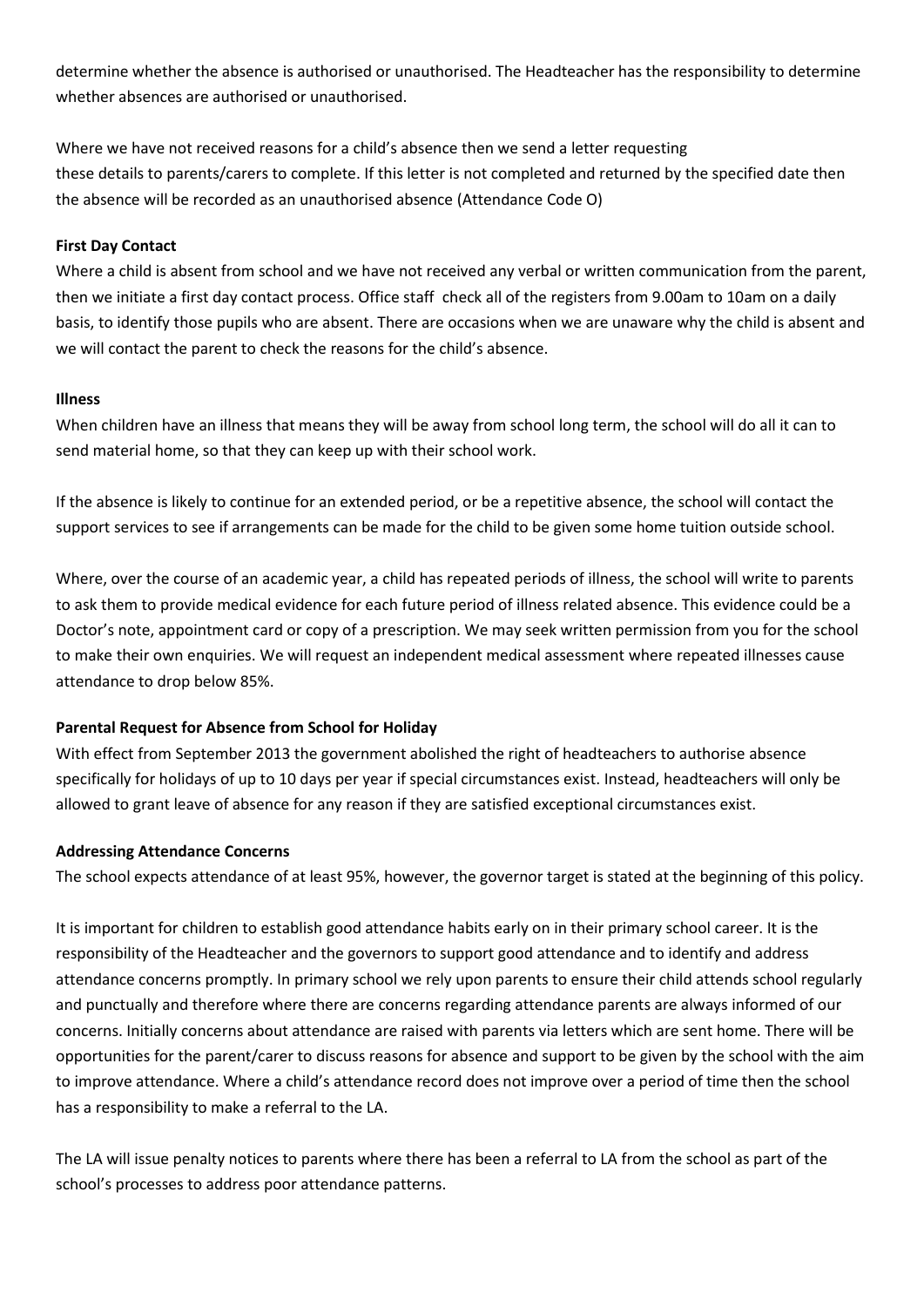determine whether the absence is authorised or unauthorised. The Headteacher has the responsibility to determine whether absences are authorised or unauthorised.

Where we have not received reasons for a child's absence then we send a letter requesting these details to parents/carers to complete. If this letter is not completed and returned by the specified date then the absence will be recorded as an unauthorised absence (Attendance Code O)

#### **First Day Contact**

Where a child is absent from school and we have not received any verbal or written communication from the parent, then we initiate a first day contact process. Office staff check all of the registers from 9.00am to 10am on a daily basis, to identify those pupils who are absent. There are occasions when we are unaware why the child is absent and we will contact the parent to check the reasons for the child's absence.

#### **Illness**

When children have an illness that means they will be away from school long term, the school will do all it can to send material home, so that they can keep up with their school work.

If the absence is likely to continue for an extended period, or be a repetitive absence, the school will contact the support services to see if arrangements can be made for the child to be given some home tuition outside school.

Where, over the course of an academic year, a child has repeated periods of illness, the school will write to parents to ask them to provide medical evidence for each future period of illness related absence. This evidence could be a Doctor's note, appointment card or copy of a prescription. We may seek written permission from you for the school to make their own enquiries. We will request an independent medical assessment where repeated illnesses cause attendance to drop below 85%.

# **Parental Request for Absence from School for Holiday**

With effect from September 2013 the government abolished the right of headteachers to authorise absence specifically for holidays of up to 10 days per year if special circumstances exist. Instead, headteachers will only be allowed to grant leave of absence for any reason if they are satisfied exceptional circumstances exist.

#### **Addressing Attendance Concerns**

The school expects attendance of at least 95%, however, the governor target is stated at the beginning of this policy.

It is important for children to establish good attendance habits early on in their primary school career. It is the responsibility of the Headteacher and the governors to support good attendance and to identify and address attendance concerns promptly. In primary school we rely upon parents to ensure their child attends school regularly and punctually and therefore where there are concerns regarding attendance parents are always informed of our concerns. Initially concerns about attendance are raised with parents via letters which are sent home. There will be opportunities for the parent/carer to discuss reasons for absence and support to be given by the school with the aim to improve attendance. Where a child's attendance record does not improve over a period of time then the school has a responsibility to make a referral to the LA.

The LA will issue penalty notices to parents where there has been a referral to LA from the school as part of the school's processes to address poor attendance patterns.